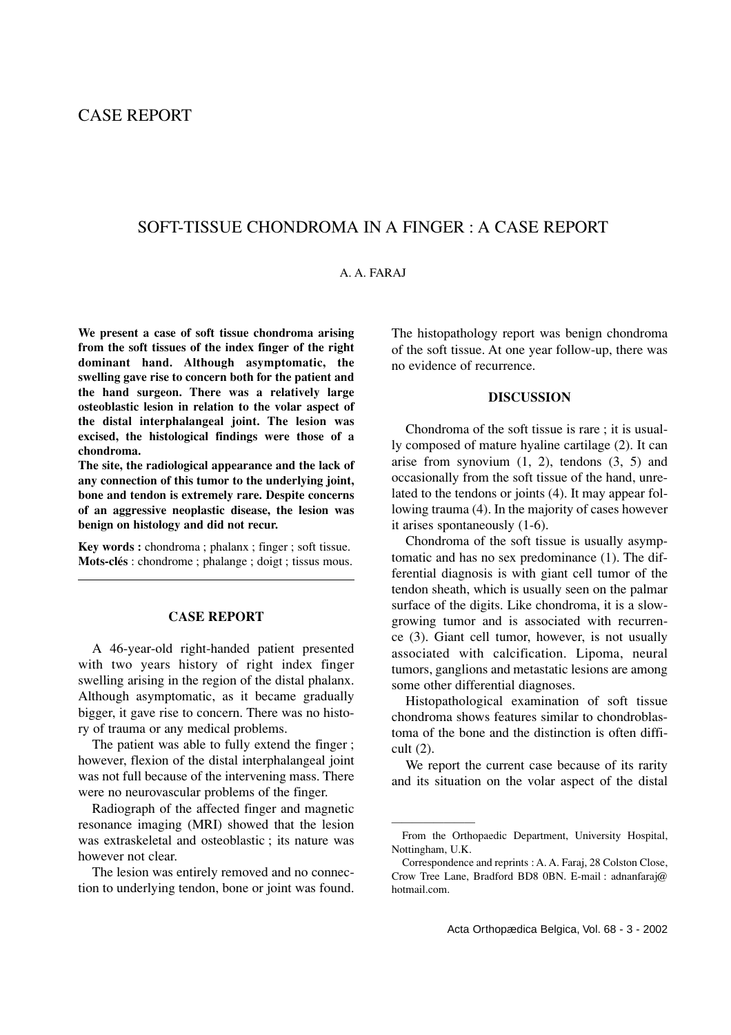# CASE REPORT

## SOFT-TISSUE CHONDROMA IN A FINGER : A CASE REPORT

#### A. A. FARAJ

**We present a case of soft tissue chondroma arising from the soft tissues of the index finger of the right dominant hand. Although asymptomatic, the swelling gave rise to concern both for the patient and the hand surgeon. There was a relatively large osteoblastic lesion in relation to the volar aspect of the distal interphalangeal joint. The lesion was excised, the histological findings were those of a chondroma.**

**The site, the radiological appearance and the lack of any connection of this tumor to the underlying joint, bone and tendon is extremely rare. Despite concerns of an aggressive neoplastic disease, the lesion was benign on histology and did not recur.**

**Key words :** chondroma ; phalanx ; finger ; soft tissue. **Mots-clés** : chondrome ; phalange ; doigt ; tissus mous.

#### **CASE REPORT**

A 46-year-old right-handed patient presented with two years history of right index finger swelling arising in the region of the distal phalanx. Although asymptomatic, as it became gradually bigger, it gave rise to concern. There was no history of trauma or any medical problems.

The patient was able to fully extend the finger ; however, flexion of the distal interphalangeal joint was not full because of the intervening mass. There were no neurovascular problems of the finger.

Radiograph of the affected finger and magnetic resonance imaging (MRI) showed that the lesion was extraskeletal and osteoblastic ; its nature was however not clear.

The lesion was entirely removed and no connection to underlying tendon, bone or joint was found. The histopathology report was benign chondroma of the soft tissue. At one year follow-up, there was no evidence of recurrence.

### **DISCUSSION**

Chondroma of the soft tissue is rare ; it is usually composed of mature hyaline cartilage (2). It can arise from synovium  $(1, 2)$ , tendons  $(3, 5)$  and occasionally from the soft tissue of the hand, unrelated to the tendons or joints (4). It may appear following trauma (4). In the majority of cases however it arises spontaneously (1-6).

Chondroma of the soft tissue is usually asymptomatic and has no sex predominance (1). The differential diagnosis is with giant cell tumor of the tendon sheath, which is usually seen on the palmar surface of the digits. Like chondroma, it is a slowgrowing tumor and is associated with recurrence (3). Giant cell tumor, however, is not usually associated with calcification. Lipoma, neural tumors, ganglions and metastatic lesions are among some other differential diagnoses.

Histopathological examination of soft tissue chondroma shows features similar to chondroblastoma of the bone and the distinction is often difficult (2).

We report the current case because of its rarity and its situation on the volar aspect of the distal

————————

From the Orthopaedic Department, University Hospital, Nottingham, U.K.

Correspondence and reprints : A. A. Faraj, 28 Colston Close, Crow Tree Lane, Bradford BD8 0BN. E-mail : adnanfaraj@ hotmail.com.